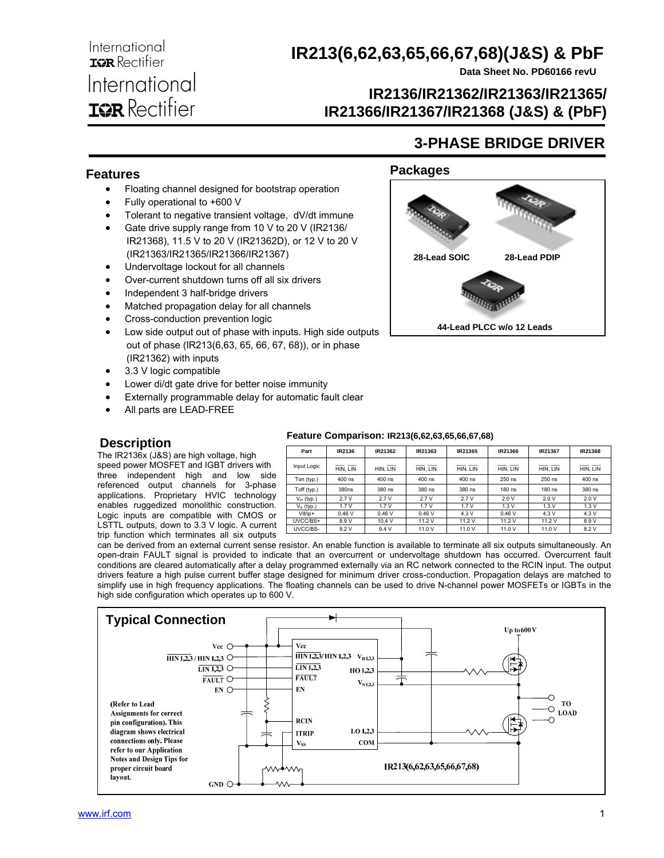**Data Sheet No. PD60166 revU**

**3-PHASE BRIDGE DRIVER** 

### **IR2136/IR21362/IR21363/IR21365/ IR21366/IR21367/IR21368 (J&S) & (PbF)**

#### **Features**

International **IGR** Rectifier

International

**IGR** Rectifier

- Floating channel designed for bootstrap operation
- Fully operational to +600 V
- Tolerant to negative transient voltage, dV/dt immune
- Gate drive supply range from 10 V to 20 V (IR2136/ IR21368), 11.5 V to 20 V (IR21362D), or 12 V to 20 V (IR21363/IR21365/IR21366/IR21367)
- Undervoltage lockout for all channels
- Over-current shutdown turns off all six drivers
- Independent 3 half-bridge drivers
- Matched propagation delay for all channels
- Cross-conduction prevention logic
- Low side output out of phase with inputs. High side outputs out of phase (IR213(6,63, 65, 66, 67, 68)), or in phase (IR21362) with inputs
- 3.3 V logic compatible
- Lower di/dt gate drive for better noise immunity
- Externally programmable delay for automatic fault clear
- All parts are LEAD-FREE

#### **Description**

 The IR2136x (J&S) are high voltage, high speed power MOSFET and IGBT drivers with three independent high and low side referenced output channels for 3-phase applications. Proprietary HVIC technology enables ruggedized monolithic construction. Logic inputs are compatible with CMOS or LSTTL outputs, down to 3.3 V logic. A current trip function which terminates all six outputs

#### **Packages**



| Part            | IR2136   | IR21362  | IR21363  | IR21365  | IR21366  | IR21367  | IR21368  |
|-----------------|----------|----------|----------|----------|----------|----------|----------|
| Input Logic     | HIN. LIN | HIN. LIN | HIN. LIN | HIN. LIN | HIN. LIN | HIN. LIN | HIN. LIN |
| Ton (typ.)      | 400 ns   | 400 ns   | 400 ns   | 400 ns   | 250 ns   | 250 ns   | 400 ns   |
| Toff (typ.)     | 380ns    | 380 ns   | 380 ns   | 380 ns   | 180 ns   | 180 ns   | 380 ns   |
| $V_{IH}$ (typ.) | 2.7V     | 2.7V     | 2.7V     | 2.7V     | 2.0V     | 2.0V     | 2.0V     |
| $V_{IL}$ (typ.) | 1.7V     | 1.7V     | 1.7V     | 1.7V     | 1.3V     | 1.3V     | 1.3V     |
| Vitrip+         | 0.46V    | 0.46V    | 0.46V    | 4.3V     | 0.46V    | 4.3 V    | 4.3V     |
| UVCC/BS+        | 8.9 V    | 10.4 V   | 11.2 V   | 11.2 V   | 11.2 V   | 11.2 V   | 8.9 V    |
| UVCC/BS-        | 8.2 V    | 9.4V     | 11.0 V   | 11.0 V   | 11.0 V   | 11.0 V   | 8.2 V    |

can be derived from an external current sense resistor. An enable function is available to terminate all six outputs simultaneously. An open-drain FAULT signal is provided to indicate that an overcurrent or undervoltage shutdown has occurred. Overcurrent fault conditions are cleared automatically after a delay programmed externally via an RC network connected to the RCIN input. The output drivers feature a high pulse current buffer stage designed for minimum driver cross-conduction. Propagation delays are matched to simplify use in high frequency applications. The floating channels can be used to drive N-channel power MOSFETs or IGBTs in the high side configuration which operates up to 600 V.



#### **Feature Comparison: IR213(6,62,63,65,66,67,68)**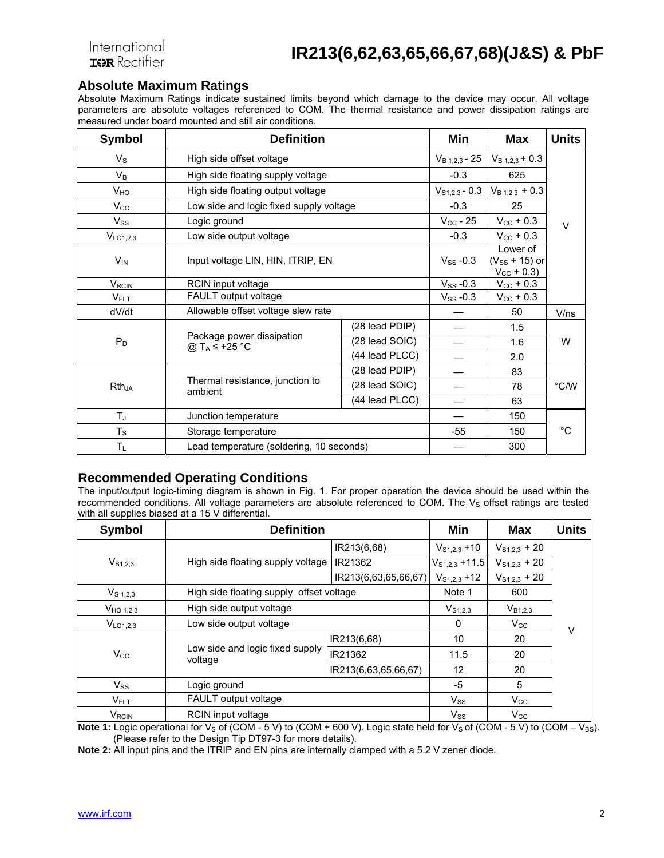**Absolute Maximum Ratings**<br>Absolute Maximum Ratings indicate sustained limits beyond which damage to the device may occur. All voltage parameters are absolute voltages referenced to COM. The thermal resistance and power dissipation ratings are measured under board mounted and still air conditions.

| <b>Symbol</b>           | <b>Definition</b>                                           | Min                | <b>Max</b>                                            | <b>Units</b>       |                |  |
|-------------------------|-------------------------------------------------------------|--------------------|-------------------------------------------------------|--------------------|----------------|--|
| $V_{\rm S}$             | High side offset voltage                                    | $V_{B 1,2,3}$ - 25 | $V_{B 1,2,3}$ + 0.3                                   |                    |                |  |
| $V_B$                   | High side floating supply voltage                           | $-0.3$             | 625                                                   |                    |                |  |
| V <sub>HO</sub>         | High side floating output voltage                           |                    | $V_{S1,2,3}$ - 0.3                                    | $V_{B1,2,3} + 0.3$ |                |  |
| $V_{\rm CC}$            | Low side and logic fixed supply voltage                     |                    | $-0.3$                                                | 25                 |                |  |
| $V_{SS}$                | Logic ground                                                |                    | $V_{CC}$ - 25                                         | $V_{\rm CC}$ + 0.3 | $\vee$         |  |
| V <sub>LO1,2,3</sub>    | Low side output voltage                                     |                    | $-0.3$                                                | $V_{\rm CC}$ + 0.3 |                |  |
| <b>V<sub>IN</sub></b>   | Input voltage LIN, HIN, ITRIP, EN                           | $V_{SS}$ -0.3      | Lower of<br>$(V_{SS} + 15)$ or<br>$V_{\rm CC}$ + 0.3) |                    |                |  |
| <b>V<sub>RCIN</sub></b> | RCIN input voltage                                          | $V_{SS}$ -0.3      | $V_{\rm CC}$ + 0.3                                    |                    |                |  |
| $V_{FLT}$               | FAULT output voltage                                        | $V_{SS}$ -0.3      | $V_{\rm CC}$ + 0.3                                    |                    |                |  |
| dV/dt                   | Allowable offset voltage slew rate                          |                    | 50                                                    | V/ns               |                |  |
|                         | Package power dissipation<br>@ T <sub>A</sub> $\leq$ +25 °C | (28 lead PDIP)     |                                                       | 1.5                | W              |  |
| $P_D$                   |                                                             | (28 lead SOIC)     |                                                       | 1.6                |                |  |
|                         |                                                             | (44 lead PLCC)     |                                                       | 2.0                |                |  |
|                         |                                                             | (28 lead PDIP)     |                                                       | 83                 |                |  |
| $Rth_{JA}$              | Thermal resistance, junction to<br>ambient                  | (28 lead SOIC)     |                                                       | 78                 | $^{\circ}$ C/W |  |
|                         |                                                             | (44 lead PLCC)     |                                                       | 63                 |                |  |
| $T_J$                   | Junction temperature                                        |                    | 150                                                   |                    |                |  |
| $T_S$                   | Storage temperature                                         | $-55$              | 150                                                   | $^{\circ}$ C       |                |  |
| $T_L$                   | Lead temperature (soldering, 10 seconds)                    |                    | 300                                                   |                    |                |  |

### **Recommended Operating Conditions**

The input/output logic-timing diagram is shown in Fig. 1. For proper operation the device should be used within the recommended conditions. All voltage parameters are absolute referenced to COM. The  $V<sub>S</sub>$  offset ratings are tested with all supplies biased at a 15 V differential.

| <b>Symbol</b>           | <b>Definition</b>                          | Min                  | Max                | <b>Units</b>      |  |
|-------------------------|--------------------------------------------|----------------------|--------------------|-------------------|--|
|                         |                                            | IR213(6,68)          | $V_{S1,2,3}$ +10   | $V_{S1,2,3}$ + 20 |  |
| $V_{B1,2,3}$            | High side floating supply voltage          | IR21362              | $V_{S1,2.3}$ +11.5 | $V_{S1,2,3}$ + 20 |  |
|                         |                                            | IR213(6,63,65,66,67) | $V_{S1,2,3}$ +12   | $V_{S1,2,3}$ + 20 |  |
| $V_{S 1,2,3}$           | High side floating supply offset voltage   |                      | Note 1             | 600               |  |
| V <sub>HO 1,2,3</sub>   | High side output voltage                   | $V_{S1,2,3}$         | $V_{B1,2,3}$       |                   |  |
| V <sub>LO1,2,3</sub>    | Low side output voltage                    | $\Omega$             | $V_{\rm CC}$       | V                 |  |
|                         |                                            | IR213(6,68)          | 10                 | 20                |  |
| $V_{\rm CC}$            | Low side and logic fixed supply<br>voltage | IR21362              | 11.5               | 20                |  |
|                         |                                            | IR213(6,63,65,66,67) | 12                 | 20                |  |
| $V_{SS}$                | Logic ground                               | -5                   | 5                  |                   |  |
| $V_{FLT}$               | <b>FAULT</b> output voltage                | $V_{SS}$             | $V_{\rm CC}$       |                   |  |
| <b>V<sub>RCIN</sub></b> | <b>RCIN</b> input voltage                  | $V_{SS}$             | $V_{\rm CC}$       |                   |  |

**Note 1:** Logic operational for  $V_S$  of (COM - 5 V) to (COM + 600 V). Logic state held for  $V_S$  of (COM - 5 V) to (COM –  $V_{BS}$ ). (Please refer to the Design Tip DT97-3 for more details).

**Note 2:** All input pins and the ITRIP and EN pins are internally clamped with a 5.2 V zener diode.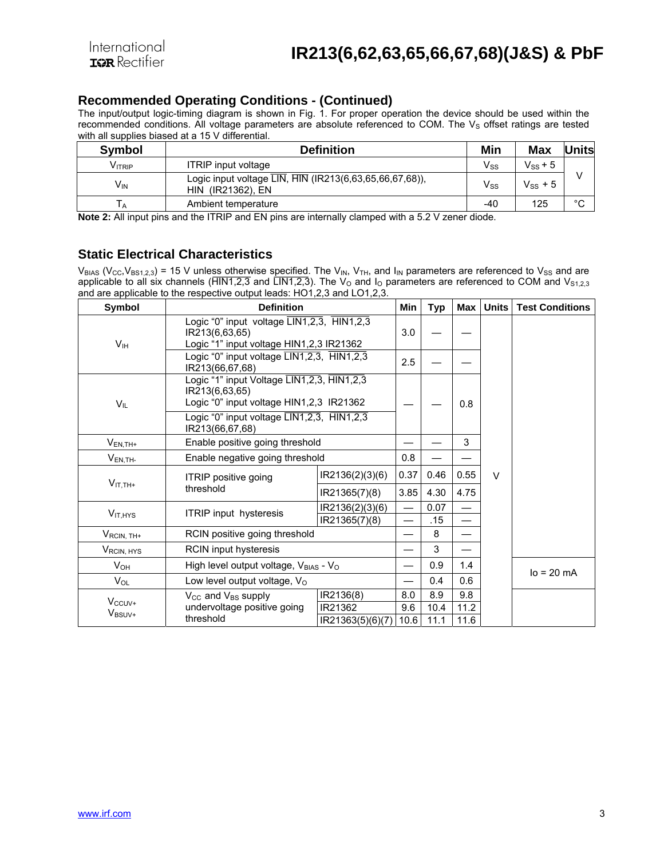#### **Recommended Operating Conditions - (Continued)**

The input/output logic-timing diagram is shown in Fig. 1. For proper operation the device should be used within the recommended conditions. All voltage parameters are absolute referenced to COM. The V<sub>s</sub> offset ratings are tested with all supplies biased at a 15 V differential.

| <b>Symbol</b>      | <b>Definition</b>                                                            | Min                        | Max          | <b>Units</b> |
|--------------------|------------------------------------------------------------------------------|----------------------------|--------------|--------------|
| V <sub>ITRIP</sub> | <b>ITRIP</b> input voltage                                                   | $\mathsf{V}_{\mathsf{SS}}$ | $V_{SS}$ + 5 |              |
| V <sub>IN</sub>    | Logic input voltage LIN, HIN (IR213(6,63,65,66,67,68)),<br>HIN (IR21362), EN | $\mathsf{V}_{\mathsf{SS}}$ | $V_{SS}$ + 5 |              |
| 1 A                | Ambient temperature                                                          | -40                        | 125          | $\circ$<br>U |

**Note 2:** All input pins and the ITRIP and EN pins are internally clamped with a 5.2 V zener diode.

#### **Static Electrical Characteristics**

 $V_{BIAS}$  (V<sub>CC</sub>, V<sub>BS1,2,3</sub>) = 15 V unless otherwise specified. The V<sub>IN</sub>, V<sub>TH</sub>, and I<sub>IN</sub> parameters are referenced to V<sub>SS</sub> and are applicable to all six channels ( $\overline{HIN1,2,3}$  and  $\overline{LIN1,2,3}$ ). The  $V_0$  and  $I_0$  parameters are referenced to COM and  $V_{S1,2,3}$ and are applicable to the respective output leads: HO1,2,3 and LO1,2,3.

| Symbol                            | <b>Definition</b>                                                                                                                                                                                                      |                  | Min  | Typ  | Max                      | <b>Units</b> | <b>Test Conditions</b> |
|-----------------------------------|------------------------------------------------------------------------------------------------------------------------------------------------------------------------------------------------------------------------|------------------|------|------|--------------------------|--------------|------------------------|
| V <sub>IH</sub>                   | Logic "0" input voltage $\overline{\text{LIN1},2,3}$ , $\overline{\text{HIN1},2,3}$<br>IR213(6,63,65)<br>Logic "1" input voltage HIN1,2,3 IR21362                                                                      |                  | 3.0  |      |                          |              |                        |
|                                   | Logic "0" input voltage LIN1,2,3, HIN1,2,3<br>IR213(66,67,68)                                                                                                                                                          |                  | 2.5  |      |                          |              |                        |
| $V_{IL}$                          | Logic "1" input Voltage LIN1, 2, 3, HIN1, 2, 3<br>IR213(6,63,65)<br>Logic "0" input voltage HIN1,2,3 IR21362<br>Logic "0" input voltage $\overline{\text{LIN1},2,3}$ , $\overline{\text{HIN1},2,3}$<br>IR213(66,67,68) |                  |      |      | 0.8                      |              |                        |
| $V_{EN,TH+}$                      | Enable positive going threshold                                                                                                                                                                                        |                  |      |      | 3                        |              |                        |
| $V_{EN,TH}$                       | Enable negative going threshold                                                                                                                                                                                        |                  | 0.8  |      |                          |              |                        |
| $V_{IT,TH+}$                      | ITRIP positive going                                                                                                                                                                                                   | IR2136(2)(3)(6)  | 0.37 | 0.46 | 0.55                     | $\vee$       |                        |
|                                   | threshold                                                                                                                                                                                                              | IR21365(7)(8)    | 3.85 | 4.30 | 4.75                     |              |                        |
| $V_{IT,HYS}$                      | <b>ITRIP</b> input hysteresis                                                                                                                                                                                          | IR2136(2)(3)(6)  |      | 0.07 |                          |              |                        |
|                                   |                                                                                                                                                                                                                        | IR21365(7)(8)    |      | .15  | $\overline{\phantom{0}}$ |              |                        |
| $V_{\mathsf{RCIN},\mathsf{TH+}}$  | RCIN positive going threshold                                                                                                                                                                                          |                  |      | 8    |                          |              |                        |
| V <sub>RCIN, HYS</sub>            | RCIN input hysteresis                                                                                                                                                                                                  |                  |      | 3    |                          |              |                        |
| $V_{OH}$                          | High level output voltage, VBIAS - Vo                                                                                                                                                                                  |                  |      | 0.9  | 1.4                      |              | $lo = 20 mA$           |
| $V_{OL}$                          | Low level output voltage, Vo                                                                                                                                                                                           |                  |      | 0.4  | 0.6                      |              |                        |
|                                   | V <sub>CC</sub> and V <sub>BS</sub> supply                                                                                                                                                                             | IR2136(8)        | 8.0  | 8.9  | 9.8                      |              |                        |
| $V_{CCUV+}$<br>V <sub>BSUV+</sub> | undervoltage positive going                                                                                                                                                                                            | IR21362          | 9.6  | 10.4 | 11.2                     |              |                        |
|                                   | threshold                                                                                                                                                                                                              | IR21363(5)(6)(7) | 10.6 | 11.1 | 11.6                     |              |                        |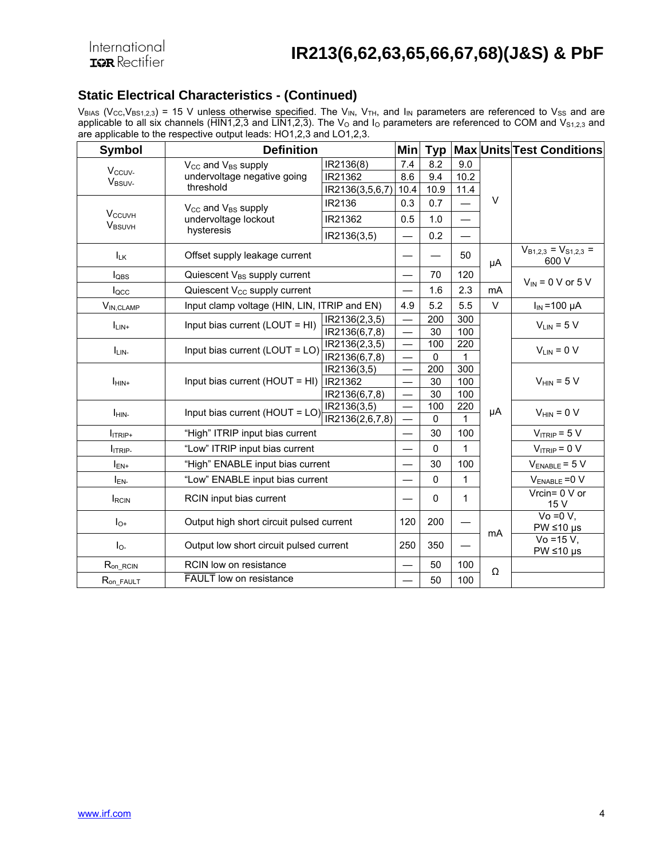### **Static Electrical Characteristics - (Continued)**

 $V_{BIAS}$  (V<sub>CC</sub>,V<sub>BS1,2,3</sub>) = 15 V unless otherwise specified. The V<sub>IN</sub>, V<sub>TH</sub>, and I<sub>IN</sub> parameters are referenced to V<sub>SS</sub> and are applicable to all six channels (HIN1,2,3 and LIN1,2,3). The  $V_{\rm O}$  and  $I_{\rm O}$  parameters are referenced to COM and  $V_{\rm S1,2,3}$  and are applicable to the respective output leads: HO1,2,3 and LO1,2,3.

| <b>Symbol</b>                             | <b>Definition</b>                            |                              | <b>Min</b>               | <b>Typ</b>   |            |        | <b>Max Units Test Conditions</b>                |
|-------------------------------------------|----------------------------------------------|------------------------------|--------------------------|--------------|------------|--------|-------------------------------------------------|
|                                           | V <sub>cc</sub> and V <sub>BS</sub> supply   | IR2136(8)                    | 7.4                      | 8.2          | 9.0        |        |                                                 |
| V <sub>ccuv-</sub><br>V <sub>BSUV-</sub>  | undervoltage negative going                  | IR21362                      | 8.6                      | 9.4          | 10.2       |        |                                                 |
|                                           | threshold                                    | IR2136(3,5,6,7)              | 10.4                     | 10.9         | 11.4       |        |                                                 |
|                                           | $V_{CC}$ and $V_{BS}$ supply                 | IR2136                       | 0.3                      | 0.7          |            | $\vee$ |                                                 |
| <b>V<sub>CCUVH</sub></b><br><b>VBSUVH</b> | undervoltage lockout                         | IR21362                      | 0.5                      | 1.0          |            |        |                                                 |
|                                           | hysteresis                                   | IR2136(3,5)                  |                          | 0.2          |            |        |                                                 |
| $I_{LK}$                                  | Offset supply leakage current                |                              |                          |              | 50         | μA     | $V_{B1,2,3} = V_{S1,2,3}$ =<br>600 V            |
| $I_{OBS}$                                 | Quiescent V <sub>BS</sub> supply current     |                              |                          | 70           | 120        |        | $V_{IN}$ = 0 V or 5 V                           |
| locc                                      | Quiescent V <sub>cc</sub> supply current     |                              |                          | 1.6          | 2.3        | mA     |                                                 |
| $V_{IN,CLAMP}$                            | Input clamp voltage (HIN, LIN, ITRIP and EN) |                              | 4.9                      | 5.2          | 5.5        | $\vee$ | $I_{IN}$ = 100 µA                               |
| $I_{LIN+}$                                | Input bias current (LOUT = HI)               | IR2136(2,3,5)                |                          | 200          | 300        |        | $V_{LIN} = 5 V$                                 |
|                                           |                                              | IR2136(6,7,8)                |                          | 30           | 100        |        |                                                 |
| ILIN-                                     | Input bias current (LOUT = LO)               | IR2136(2,3,5)                |                          | 100          | 220        |        | $V_{LIN} = 0 V$                                 |
|                                           |                                              | IR2136(6,7,8)                |                          | $\Omega$     | 1          |        |                                                 |
|                                           | Input bias current (HOUT = HI)               | IR2136(3,5)                  |                          | 200          | 300        |        |                                                 |
| $I_{\text{HIN+}}$                         |                                              | IR21362                      |                          | 30           | 100        |        | $V_{\text{HIN}}$ = 5 V                          |
|                                           |                                              | IR2136(6,7,8)<br>IR2136(3,5) | $\overline{\phantom{0}}$ | 30<br>100    | 100<br>220 |        |                                                 |
| I <sub>HIN-</sub>                         | Input bias current (HOUT = LO                | IR2136(2,6,7,8)              |                          | $\Omega$     | 1          | μA     | $V_{HIN} = 0 V$                                 |
| I <sub>ITRIP+</sub>                       | "High" ITRIP input bias current              |                              |                          | 30           | 100        |        | $V_{ITRIP} = 5 V$                               |
| <b>ITRIP-</b>                             | "Low" ITRIP input bias current               |                              |                          | $\mathbf{0}$ | 1          |        | $V_{ITRIP} = 0 V$                               |
| $I_{EN+}$                                 | "High" ENABLE input bias current             |                              |                          | 30           | 100        |        | $V_{ENABLE} = 5 V$                              |
| $I_{EN}$                                  | "Low" ENABLE input bias current              |                              |                          | $\mathbf 0$  | 1          |        | $V_{ENABLE} = 0 V$                              |
| <b>IRCIN</b>                              | RCIN input bias current                      |                              |                          | $\mathbf 0$  | 1          |        | Vrcin= $0 \vee$ or<br>15 V                      |
| $I_{O+}$                                  | Output high short circuit pulsed current     |                              | 120                      | 200          |            | mA     | $Vo = 0 V,$<br>$PW \le 10 \text{ }\mu\text{s}$  |
| $I_{0}$                                   | Output low short circuit pulsed current      |                              | 250                      | 350          |            |        | $Vo = 15 V,$<br>$PW \le 10 \text{ }\mu\text{s}$ |
| $R_{on\_RCIN}$                            | RCIN low on resistance                       |                              |                          | 50           | 100        | Ω      |                                                 |
| $R_{on\_FAULT}$                           | <b>FAULT</b> low on resistance               |                              |                          | 50           | 100        |        |                                                 |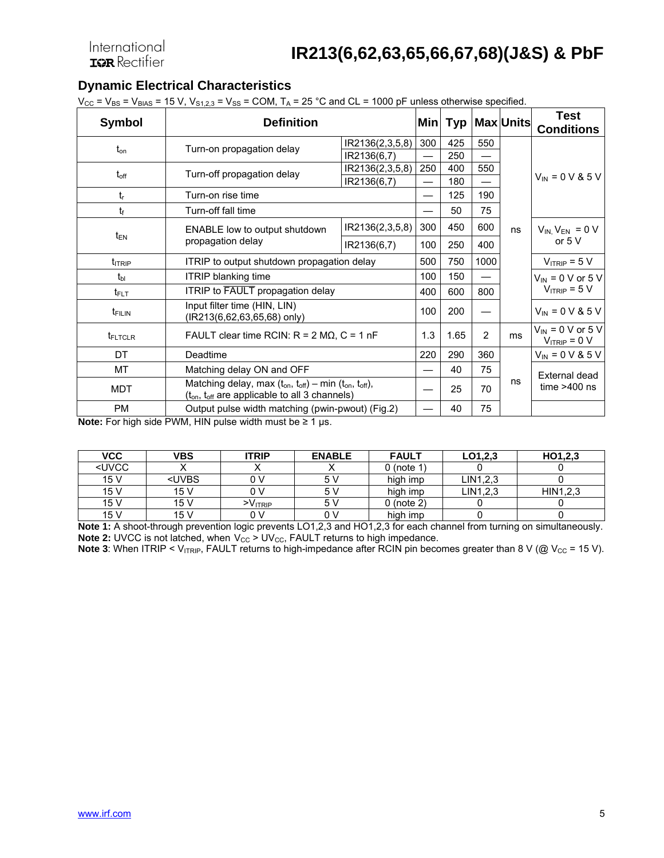## **Dynamic Electrical Characteristics**

 $V_{CC}$  =  $V_{BS}$  =  $V_{BIAS}$  = 15 V,  $V_{S1,2,3}$  =  $V_{SS}$  = COM,  $T_A$  = 25 °C and CL = 1000 pF unless otherwise specified.

| <b>Symbol</b>       | <b>Definition</b>                                                                                                                            |                 |     |      |                | Min   Typ   Max   Units | <b>Test</b><br><b>Conditions</b>           |
|---------------------|----------------------------------------------------------------------------------------------------------------------------------------------|-----------------|-----|------|----------------|-------------------------|--------------------------------------------|
| $t_{\rm on}$        | Turn-on propagation delay                                                                                                                    | IR2136(2,3,5,8) | 300 | 425  | 550            |                         |                                            |
|                     |                                                                                                                                              | IR2136(6,7)     |     | 250  |                |                         |                                            |
| $t_{\text{off}}$    | Turn-off propagation delay                                                                                                                   | IR2136(2,3,5,8) | 250 | 400  | 550            |                         |                                            |
|                     |                                                                                                                                              | IR2136(6,7)     |     | 180  |                |                         | $V_{IN} = 0 V 8 5 V$                       |
| $t_{r}$             | Turn-on rise time                                                                                                                            |                 |     | 125  | 190            |                         |                                            |
| t                   | Turn-off fall time                                                                                                                           |                 |     | 50   | 75             |                         |                                            |
|                     | <b>ENABLE low to output shutdown</b>                                                                                                         | IR2136(2,3,5,8) | 300 | 450  | 600            | ns                      | $V_{IN}$ , $V_{EN}$ = 0 V                  |
| $t_{EN}$            | propagation delay                                                                                                                            | IR2136(6,7)     | 100 | 250  | 400            |                         | or $5V$                                    |
| t <sub>ITRIP</sub>  | ITRIP to output shutdown propagation delay                                                                                                   |                 | 500 | 750  | 1000           |                         | $V_{ITRIP} = 5 V$                          |
| $t_{bl}$            | <b>ITRIP blanking time</b>                                                                                                                   |                 | 100 | 150  |                |                         | $V_{\text{IN}}$ = 0 V or 5 V               |
| $t_{\sf{FLT}}$      | <b>ITRIP to FAULT</b> propagation delay                                                                                                      |                 | 400 | 600  | 800            |                         | $V_{ITRIP} = 5 V$                          |
| $t_{\text{FILIN}}$  | Input filter time (HIN, LIN)<br>(IR213(6,62,63,65,68) only)                                                                                  |                 | 100 | 200  |                |                         | $V_{IN} = 0 V 8 5 V$                       |
| t <sub>FLTCLR</sub> | FAULT clear time RCIN: $R = 2 M\Omega$ , $C = 1 nF$                                                                                          |                 | 1.3 | 1.65 | $\overline{2}$ | ms                      | $V_{IN}$ = 0 V or 5 V<br>$V_{ITRIP} = 0 V$ |
| DT                  | Deadtime                                                                                                                                     |                 | 220 | 290  | 360            |                         | $V_{IN} = 0 V & 5 V$                       |
| МT                  | Matching delay ON and OFF                                                                                                                    |                 |     | 40   | 75             |                         | External dead                              |
| <b>MDT</b>          | Matching delay, max $(t_{on}, t_{off})$ – min $(t_{on}, t_{off})$ ,<br>(t <sub>on</sub> , t <sub>off</sub> are applicable to all 3 channels) |                 |     | 25   | 70             | ns                      | time $>400$ ns                             |
| <b>PM</b>           | Output pulse width matching (pwin-pwout) (Fig.2)                                                                                             |                 |     | 40   | 75             |                         |                                            |

**Note:** For high side PWM, HIN pulse width must be ≥ 1 µs.

| VCC                                                                                   | <b>VBS</b>                                                                               | <b>ITRIP</b>     | <b>ENABLE</b> | <b>FAULT</b> | LO1, 2, 3 | HO1,2,3  |
|---------------------------------------------------------------------------------------|------------------------------------------------------------------------------------------|------------------|---------------|--------------|-----------|----------|
| <uvcc< td=""><td></td><td></td><td></td><td>0 (note 1)</td><td></td><td></td></uvcc<> |                                                                                          |                  |               | 0 (note 1)   |           |          |
| 15 V                                                                                  | <uvbs< td=""><td>n v</td><td>5 V</td><td>high imp</td><td>LIN1,2,3</td><td></td></uvbs<> | n v              | 5 V           | high imp     | LIN1,2,3  |          |
| 15 V                                                                                  | 15V                                                                                      | n v              | 5 V           | high imp     | LIN1,2,3  | HIN1,2,3 |
| 15 V                                                                                  | 15V                                                                                      | $-V_{\rm ITRIP}$ | 5 V           | 0 (note 2)   |           |          |
| 15 <sub>V</sub>                                                                       | 15V                                                                                      | 0 V              | 0 V           | high imp     |           |          |

**Note 1:** A shoot-through prevention logic prevents LO1,2,3 and HO1,2,3 for each channel from turning on simultaneously. **Note 2:** UVCC is not latched, when  $V_{CC} > UV_{CC}$ , FAULT returns to high impedance.

**Note 3**: When ITRIP < V<sub>ITRIP</sub>, FAULT returns to high-impedance after RCIN pin becomes greater than 8 V (@ V<sub>CC</sub> = 15 V).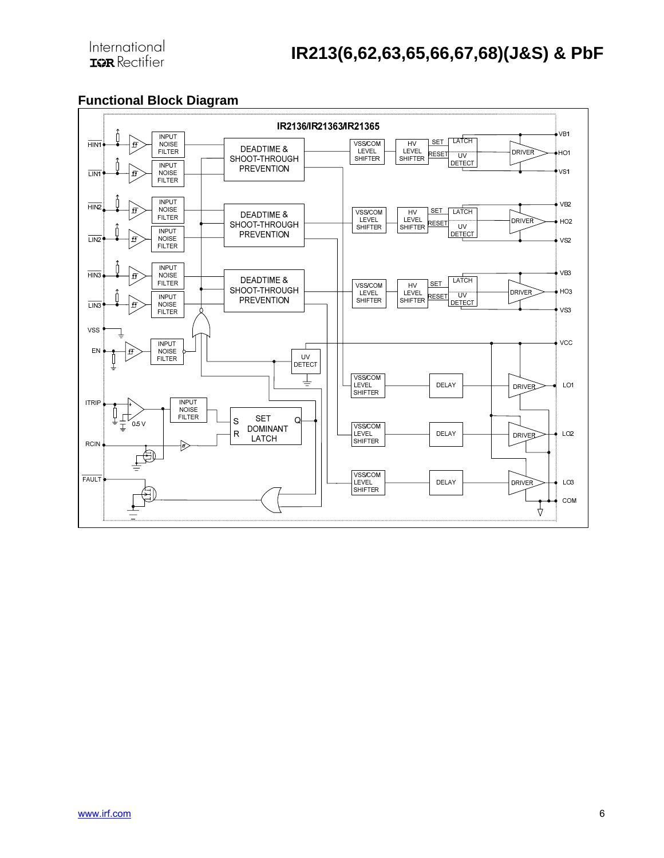### **Functional Block Diagram**

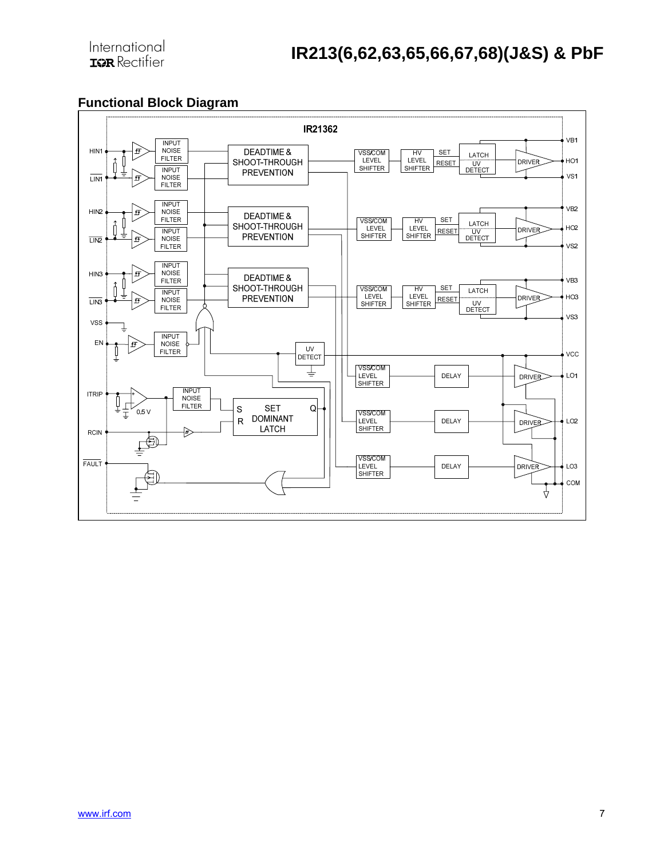### **Functional Block Diagram**

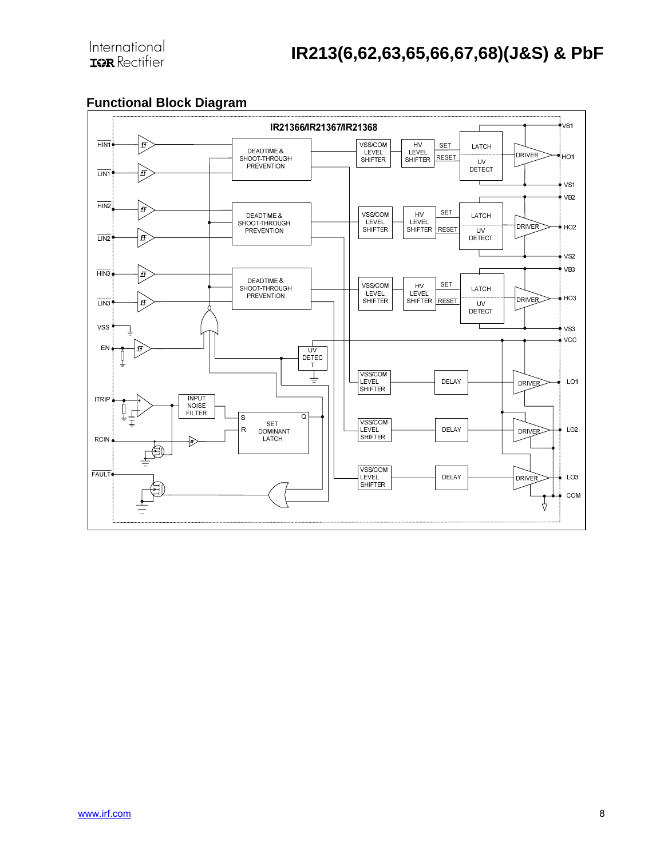### **Functional Block Diagram**

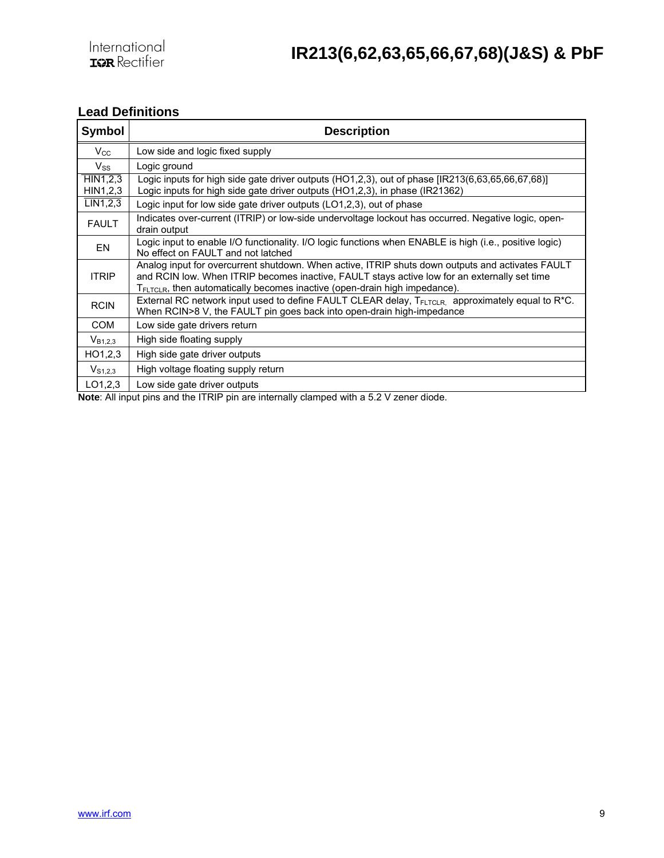### **Lead Definitions**

| Symbol               | <b>Description</b>                                                                                                                                                                                                                                                                         |
|----------------------|--------------------------------------------------------------------------------------------------------------------------------------------------------------------------------------------------------------------------------------------------------------------------------------------|
| $V_{\rm CC}$         | Low side and logic fixed supply                                                                                                                                                                                                                                                            |
| $V_{SS}$             | Logic ground                                                                                                                                                                                                                                                                               |
| HIN1,2,3<br>HIN1,2,3 | Logic inputs for high side gate driver outputs (HO1,2,3), out of phase [IR213(6,63,65,66,67,68)]<br>Logic inputs for high side gate driver outputs (HO1,2,3), in phase (IR21362)                                                                                                           |
| LIN1,2,3             | Logic input for low side gate driver outputs (LO1,2,3), out of phase                                                                                                                                                                                                                       |
| <b>FAULT</b>         | Indicates over-current (ITRIP) or low-side undervoltage lockout has occurred. Negative logic, open-<br>drain output                                                                                                                                                                        |
| EN                   | Logic input to enable I/O functionality. I/O logic functions when ENABLE is high (i.e., positive logic)<br>No effect on FAULT and not latched                                                                                                                                              |
| <b>ITRIP</b>         | Analog input for overcurrent shutdown. When active, ITRIP shuts down outputs and activates FAULT<br>and RCIN low. When ITRIP becomes inactive, FAULT stays active low for an externally set time<br>T <sub>FLTCLR</sub> , then automatically becomes inactive (open-drain high impedance). |
| <b>RCIN</b>          | External RC network input used to define FAULT CLEAR delay, T <sub>FLTCLR</sub> , approximately equal to R <sup>*</sup> C.<br>When RCIN>8 V, the FAULT pin goes back into open-drain high-impedance                                                                                        |
| <b>COM</b>           | Low side gate drivers return                                                                                                                                                                                                                                                               |
| $V_{B1,2,3}$         | High side floating supply                                                                                                                                                                                                                                                                  |
| HO1,2,3              | High side gate driver outputs                                                                                                                                                                                                                                                              |
| $V_{S1,2,3}$         | High voltage floating supply return                                                                                                                                                                                                                                                        |
| LO1,2,3              | Low side gate driver outputs                                                                                                                                                                                                                                                               |

**Note**: All input pins and the ITRIP pin are internally clamped with a 5.2 V zener diode.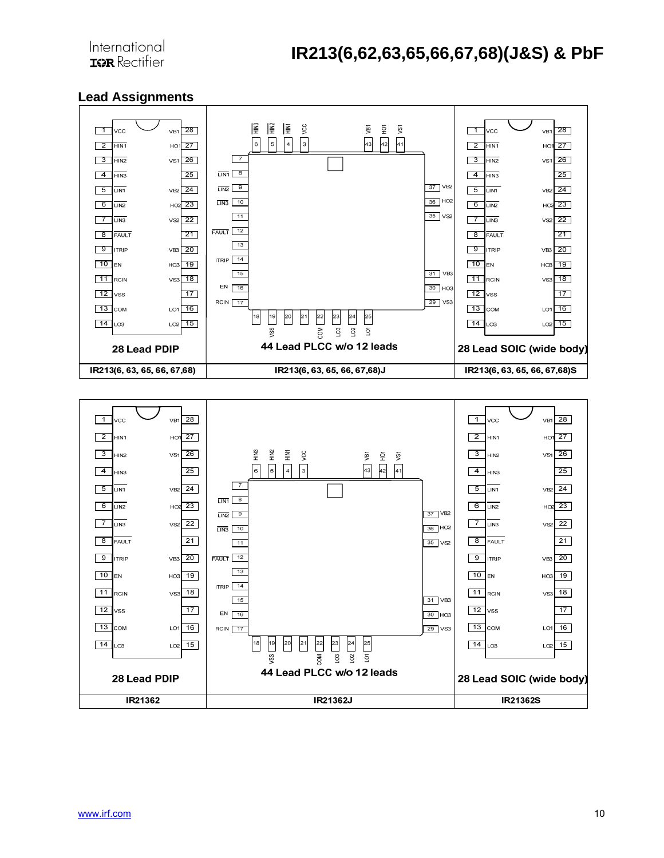



#### **Lead Assignments**

International **IGR** Rectifier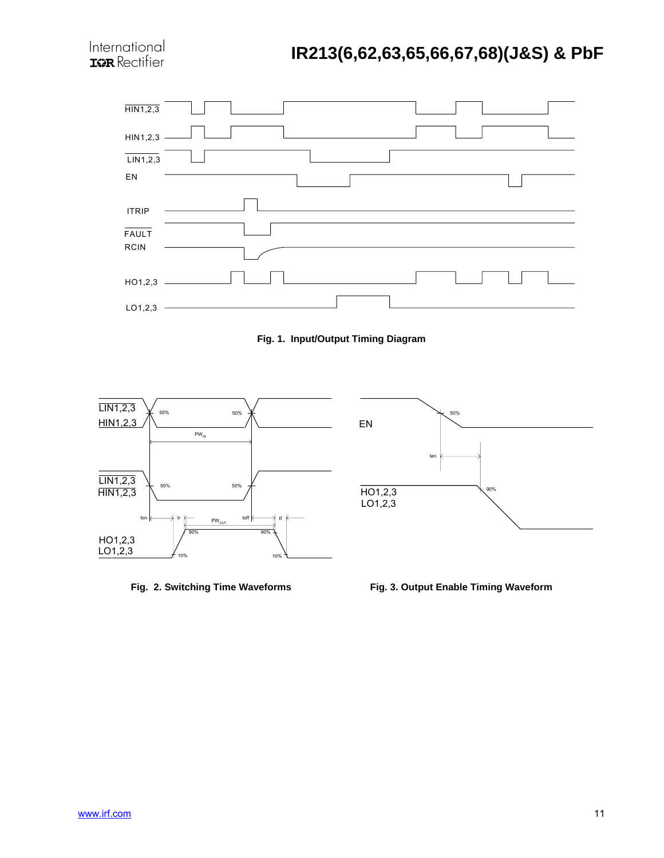





Fig. 2. Switching Time Waveforms **Fig. 3. Output Enable Timing Waveform**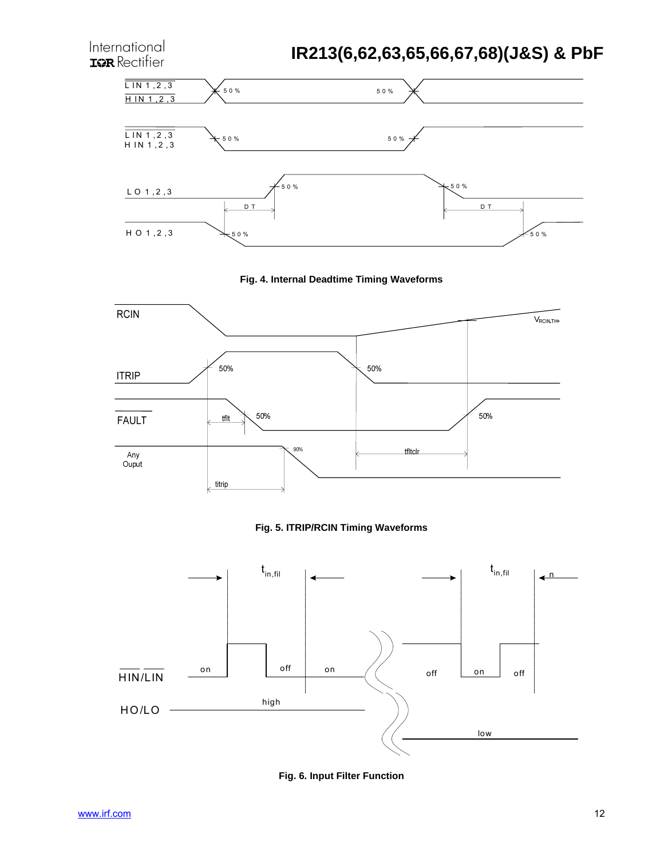









**Fig. 6. Input Filter Function**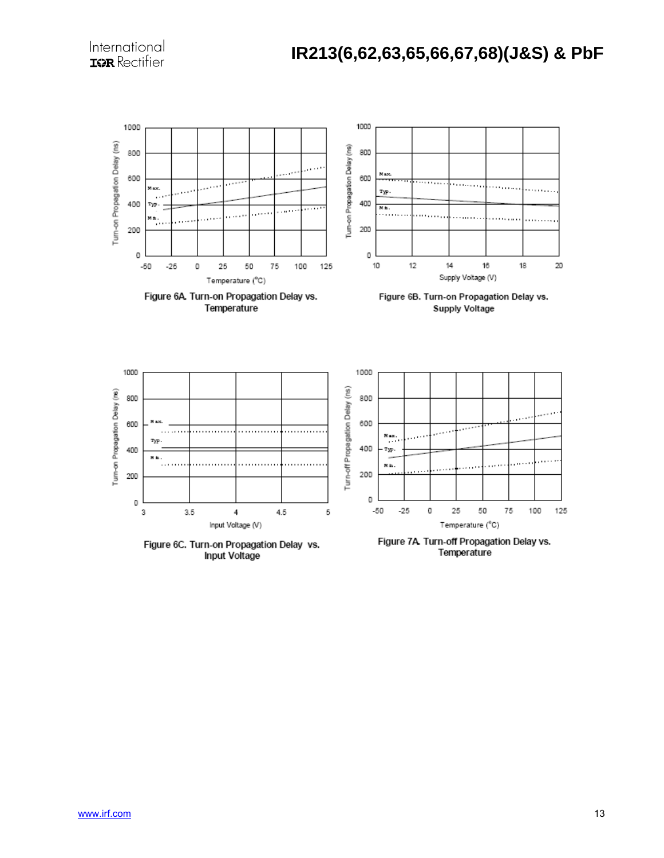

**Input Voltage** 

Temperature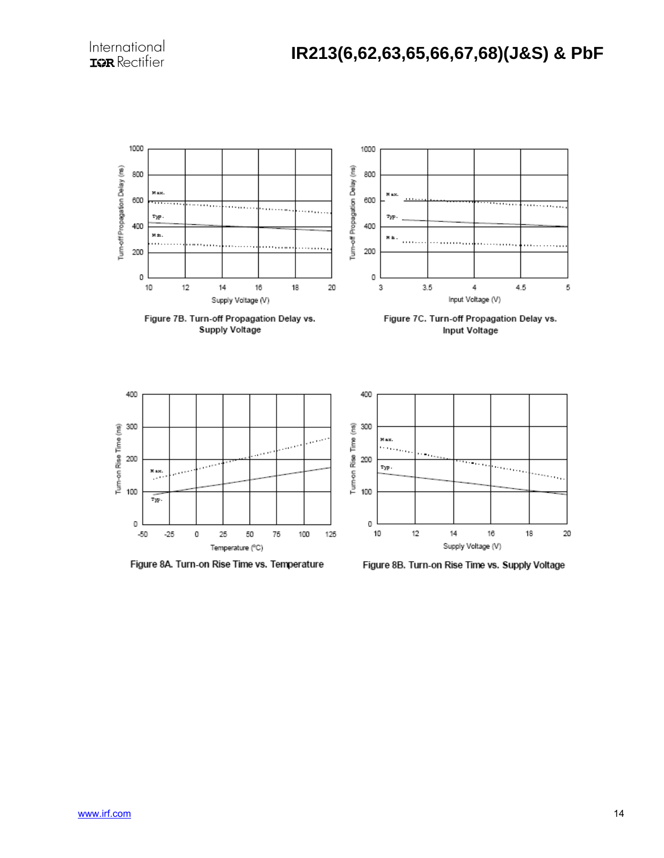

Figure 8A. Turn-on Rise Time vs. Temperature

Figure 8B. Turn-on Rise Time vs. Supply Voltage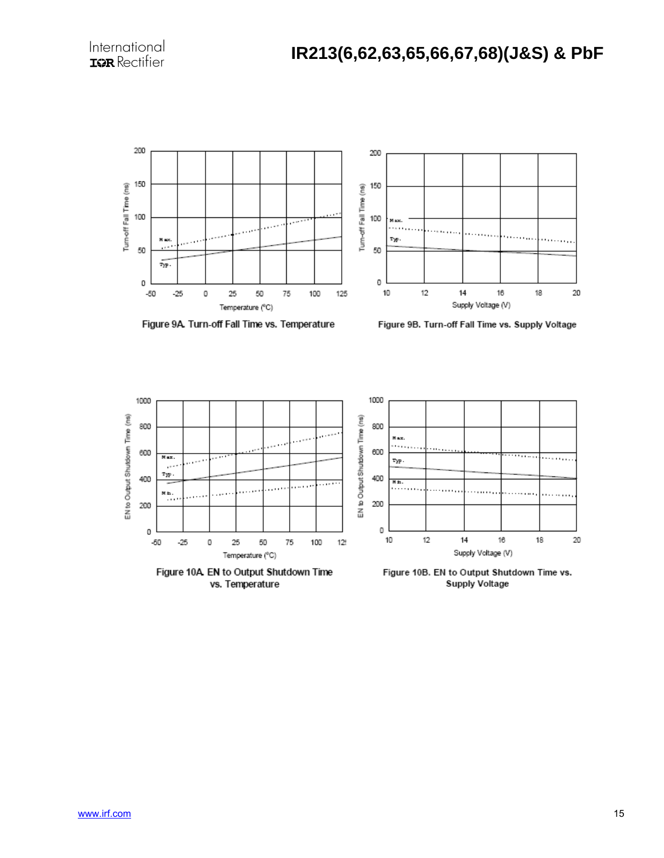

Figure 9A. Turn-off Fall Time vs. Temperature

Figure 9B. Turn-off Fall Time vs. Supply Voltage

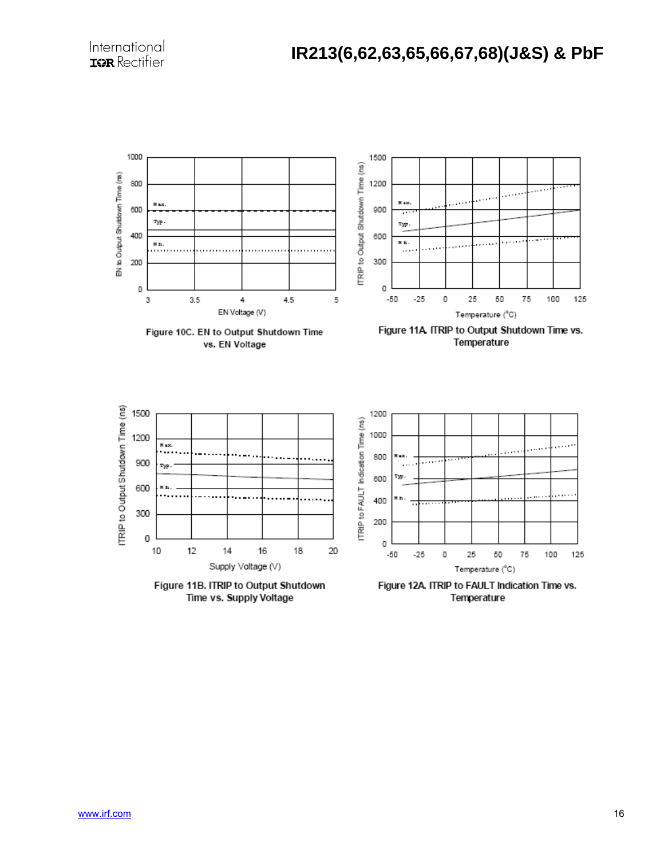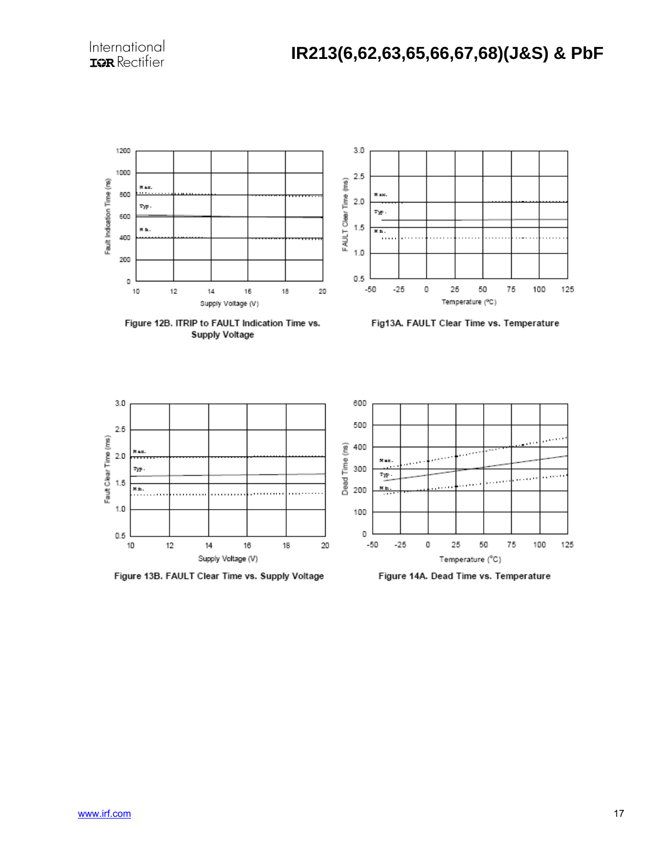

Figure 13B. FAULT Clear Time vs. Supply Voltage

Figure 14A. Dead Time vs. Temperature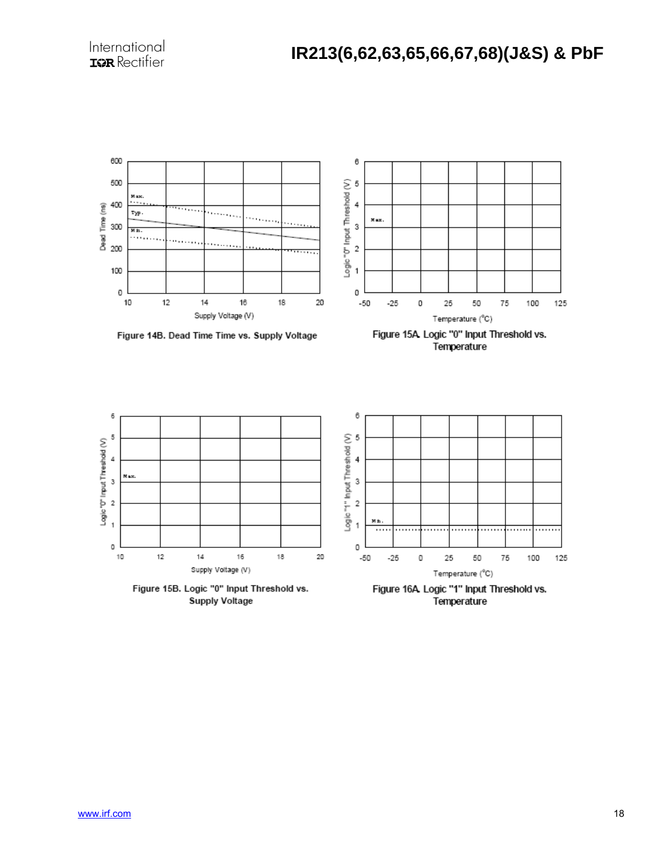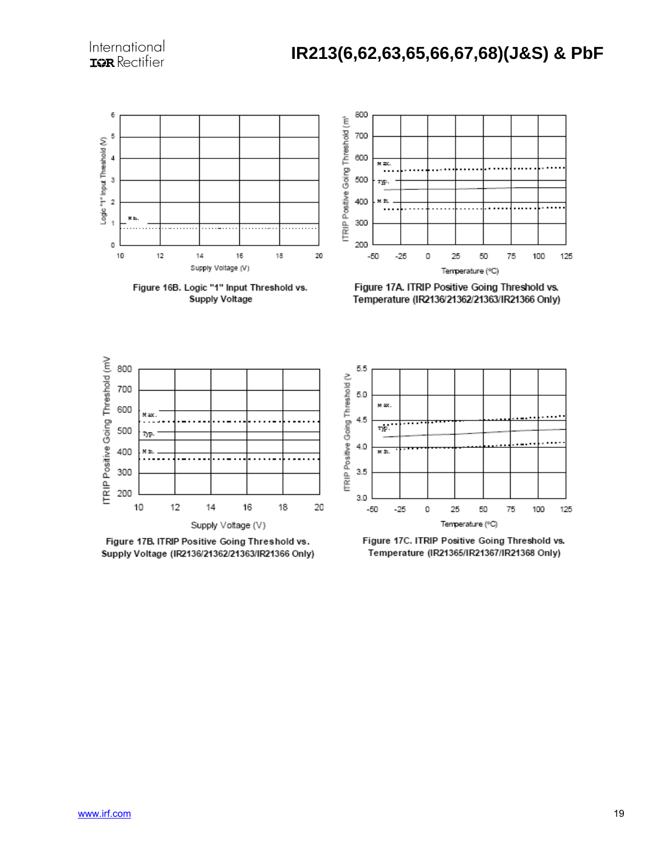

Figure 16B. Logic "1" Input Threshold vs. **Supply Voltage** 



Figure 17A. ITRIP Positive Going Threshold vs. Temperature (IR2136/21362/21363/IR21366 Only)



Figure 17B. ITRIP Positive Going Threshold vs. Supply Voltage (IR2136/21362/21363/IR21366 Only)



Figure 17C. ITRIP Positive Going Threshold vs. Temperature (IR21365/IR21367/IR21368 Only)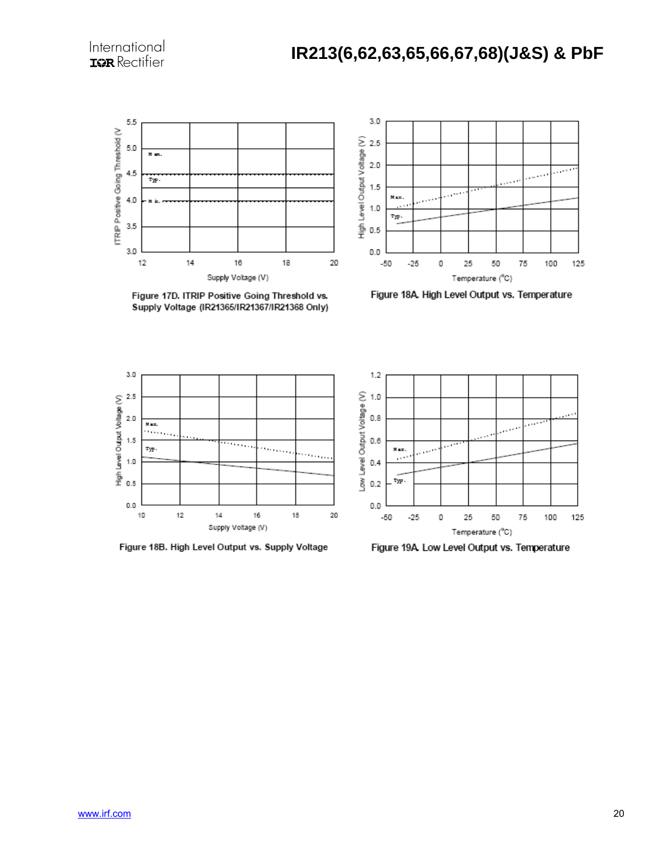

Figure 17D. ITRIP Positive Going Threshold vs. Supply Voltage (IR21365/IR21367/IR21368 Only)



Figure 18A. High Level Output vs. Temperature



Figure 18B. High Level Output vs. Supply Voltage



Figure 19A. Low Level Output vs. Temperature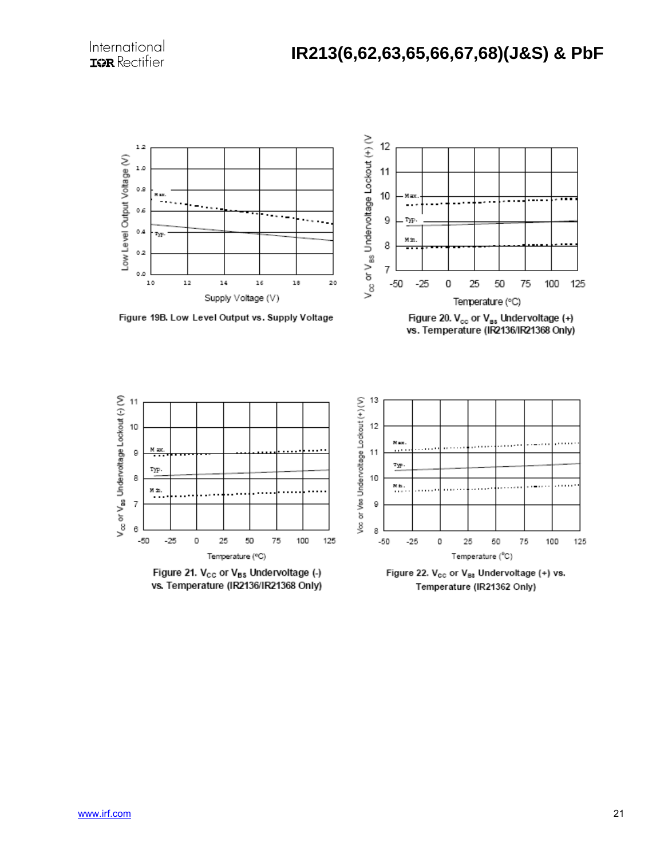

Figure 19B. Low Level Output vs. Supply Voltage



125



Temperature (IR21362 Only)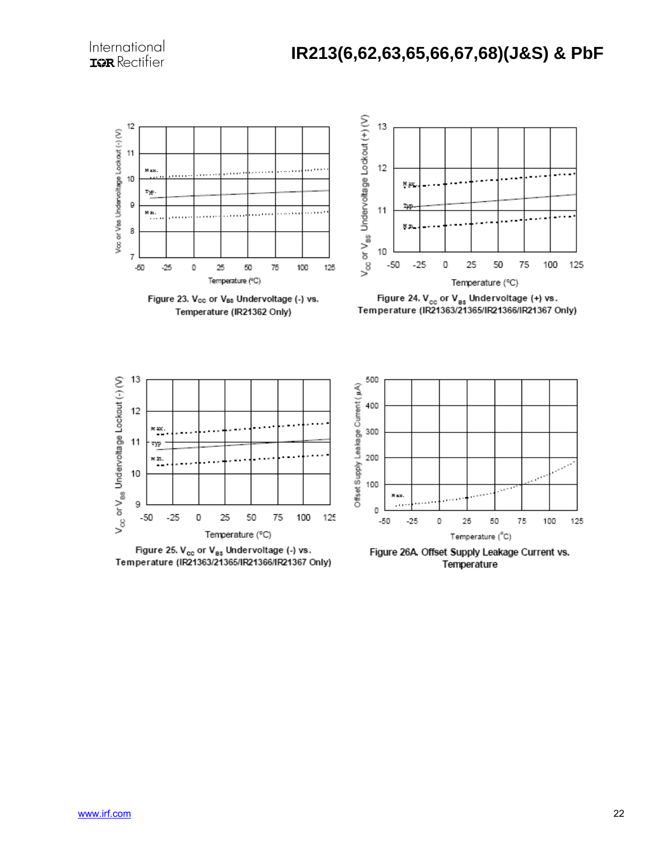

Figure 23. V<sub>cc</sub> or V<sub>Bs</sub> Undervoltage (-) vs. Temperature (IR21362 Only)



Figure 24.  $V_{cc}$  or  $V_{gs}$  Undervoltage (+) vs.<br>Temperature (IR21363/21365/IR21366/IR21367 Only)



Figure 25. V<sub>cc</sub> or V<sub>es</sub> Undervoltage (-) vs. Temperature (IR21363/21365/IR21366/IR21367 Only)



Figure 26A. Offset Supply Leakage Current vs. Temperature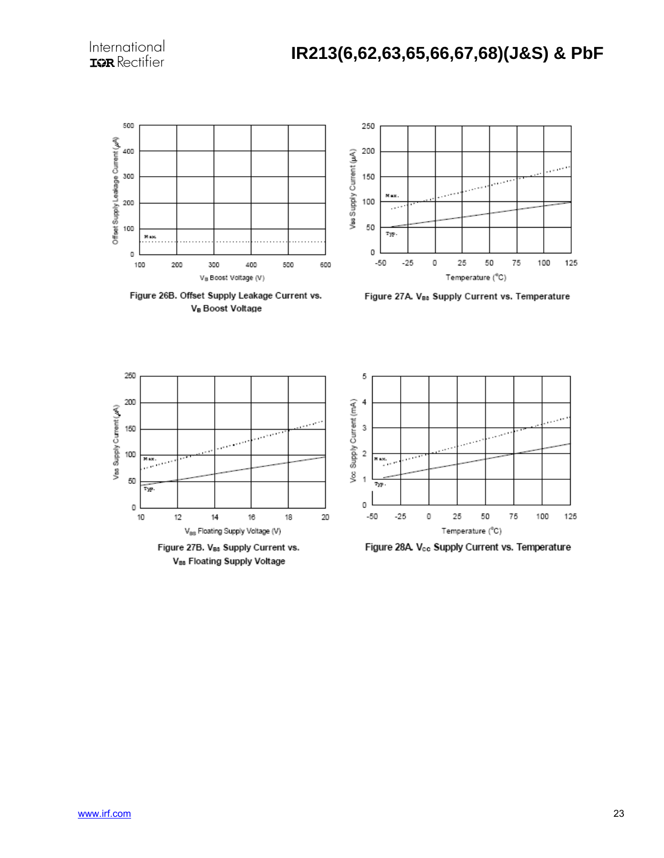

Figure 26B. Offset Supply Leakage Current vs. VB Boost Voltage

Figure 27A. V<sub>B3</sub> Supply Current vs. Temperature



5 Voo Supply Current (mA) 4 3  $\sim$   $\sim$  $\overline{\mathbf{c}}$ ilas.<br>Tax  $\overline{\phantom{a}}$ 1 Тyр 0  $-50$  $-25$ O 25 50 75 100 125 Temperature (°C)

Figure 28A. Vcc Supply Current vs. Temperature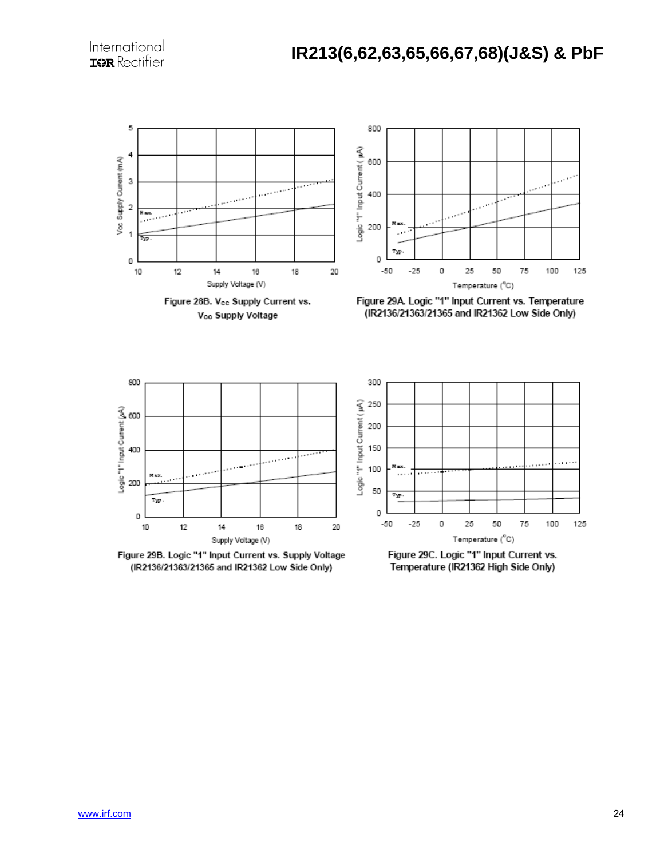

Figure 28B. Vcc Supply Current vs. V<sub>cc</sub> Supply Voltage



Figure 29A. Logic "1" Input Current vs. Temperature (IR2136/21363/21365 and IR21362 Low Side Only)



Figure 29B. Logic "1" Input Current vs. Supply Voltage (IR2136/21363/21365 and IR21362 Low Side Only)



Figure 29C. Logic "1" Input Current vs. Temperature (IR21362 High Side Only)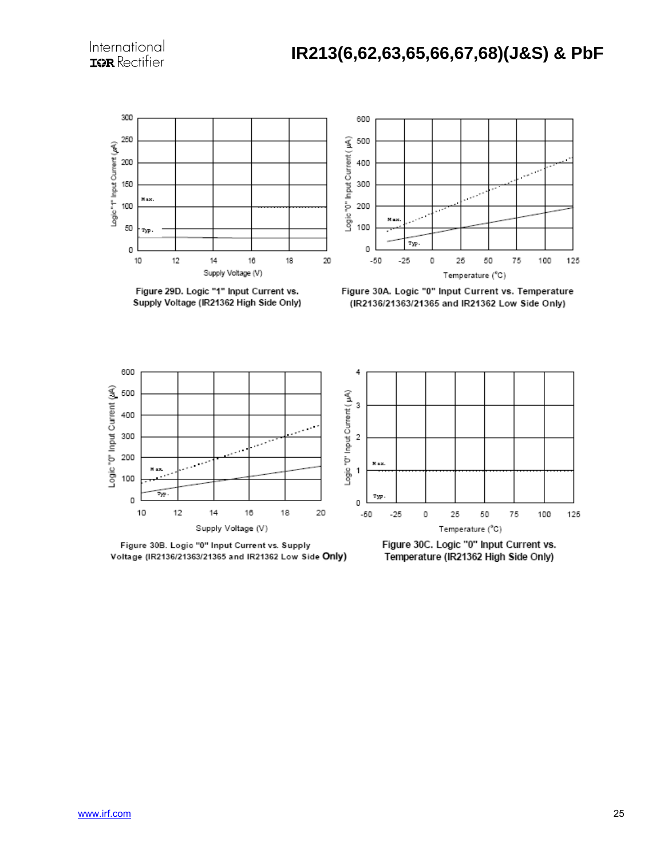

Figure 29D. Logic "1" Input Current vs. Supply Voltage (IR21362 High Side Only)



Figure 30A. Logic "0" Input Current vs. Temperature (IR2136/21363/21365 and IR21362 Low Side Only)



Figure 30B. Logic "0" Input Current vs. Supply Voltage (IR2136/21363/21365 and IR21362 Low Side Only)



Figure 30C. Logic "0" Input Current vs. Temperature (IR21362 High Side Only)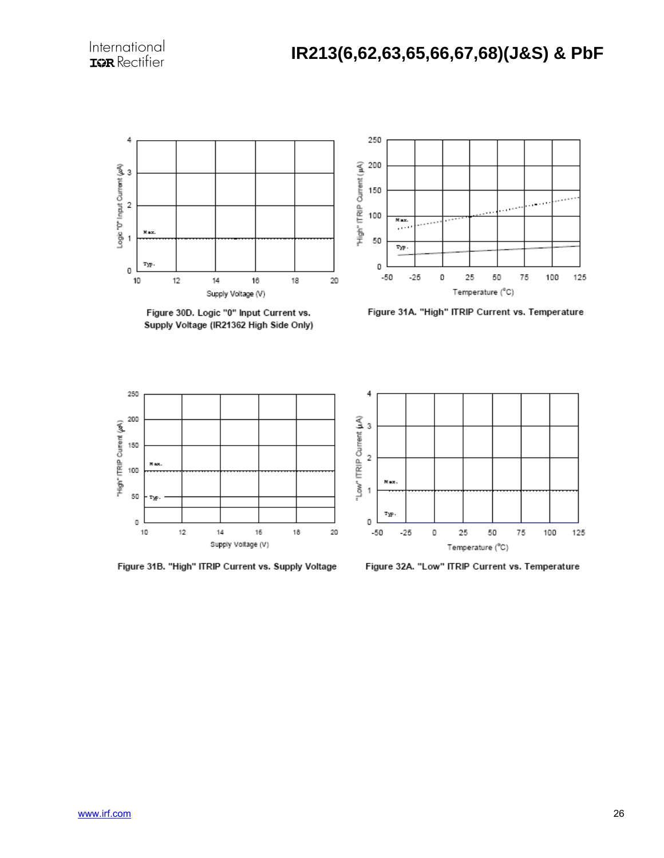

Figure 30D. Logic "0" Input Current vs. Supply Voltage (IR21362 High Side Only)



Figure 31A. "High" ITRIP Current vs. Temperature



Figure 31B. "High" ITRIP Current vs. Supply Voltage



Figure 32A. "Low" ITRIP Current vs. Temperature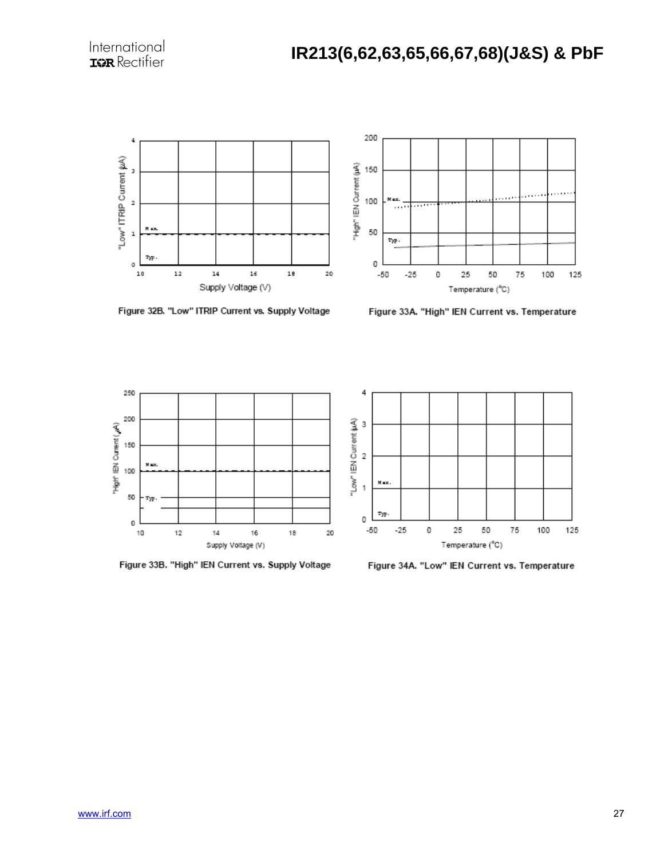



Figure 32B. "Low" ITRIP Current vs. Supply Voltage

Figure 33A. "High" IEN Current vs. Temperature



Figure 33B. "High" IEN Current vs. Supply Voltage



Figure 34A. "Low" IEN Current vs. Temperature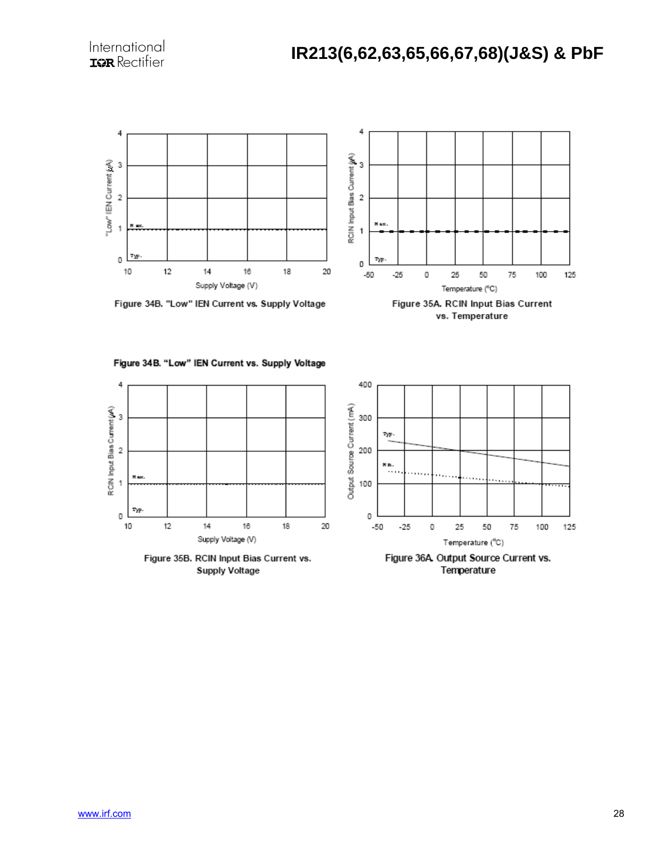



Figure 35A. RCIN Input Bias Current vs. Temperature







Supply Voltage



Temperature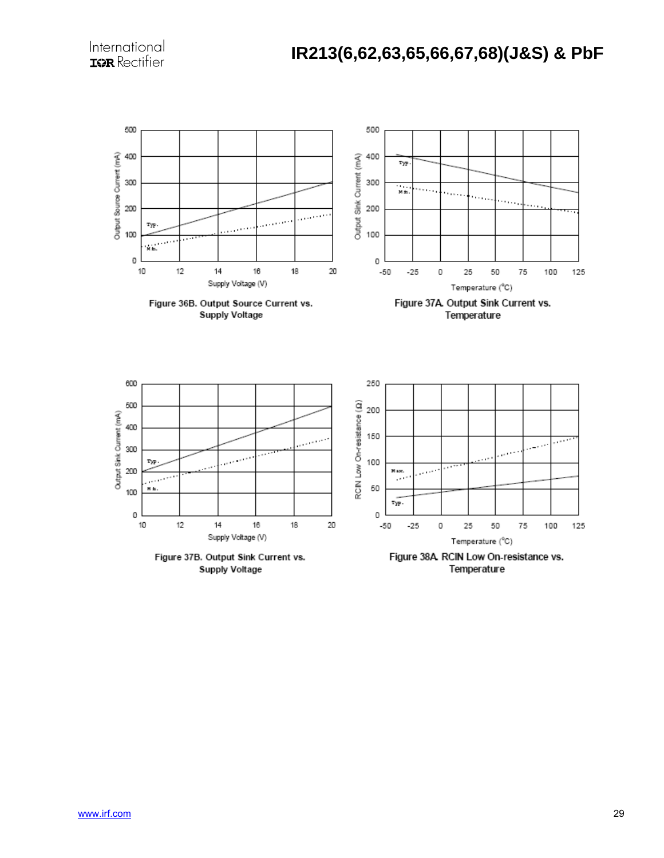

Figure 37B. Output Sink Current vs. **Supply Voltage** 

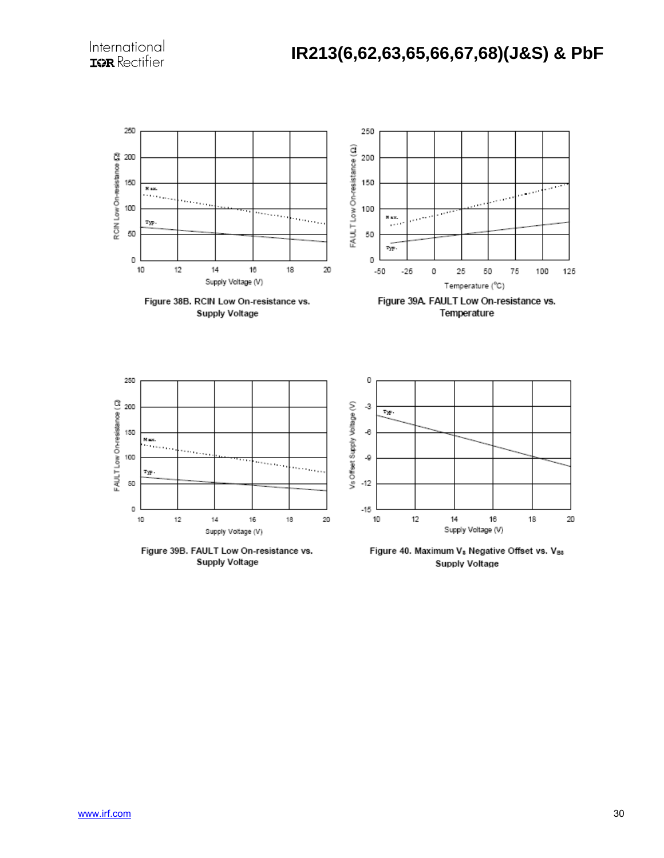

Figure 39B. FAULT Low On-resistance vs. Supply Voltage

Figure 40. Maximum V<sub>s</sub> Negative Offset vs. V<sub>Bs</sub> Supply Voltage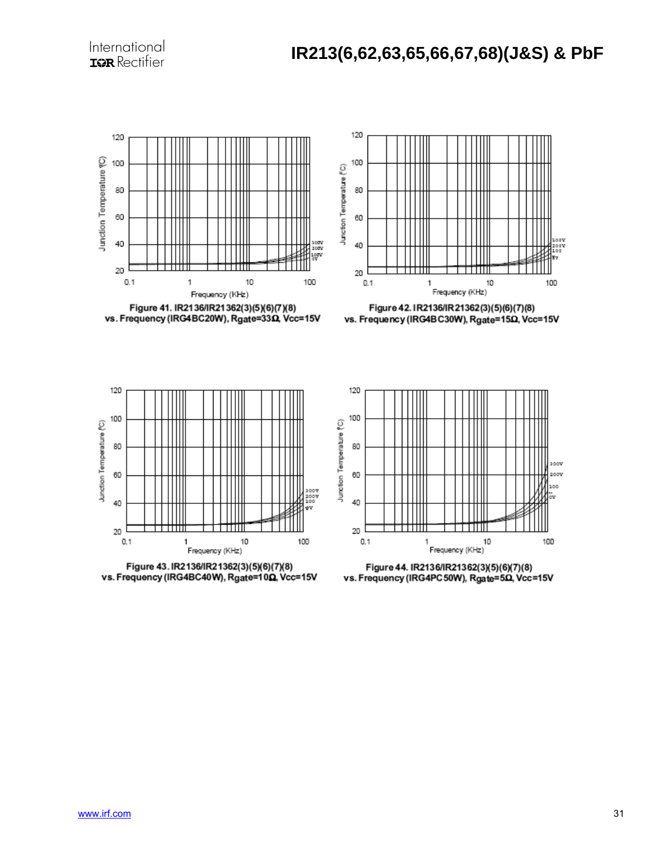





Figure 42. IR2136/IR21362(3)(5)(6)(7)(8) vs. Frequency (IRG4BC30W), Rgate=150, Vcc=15V







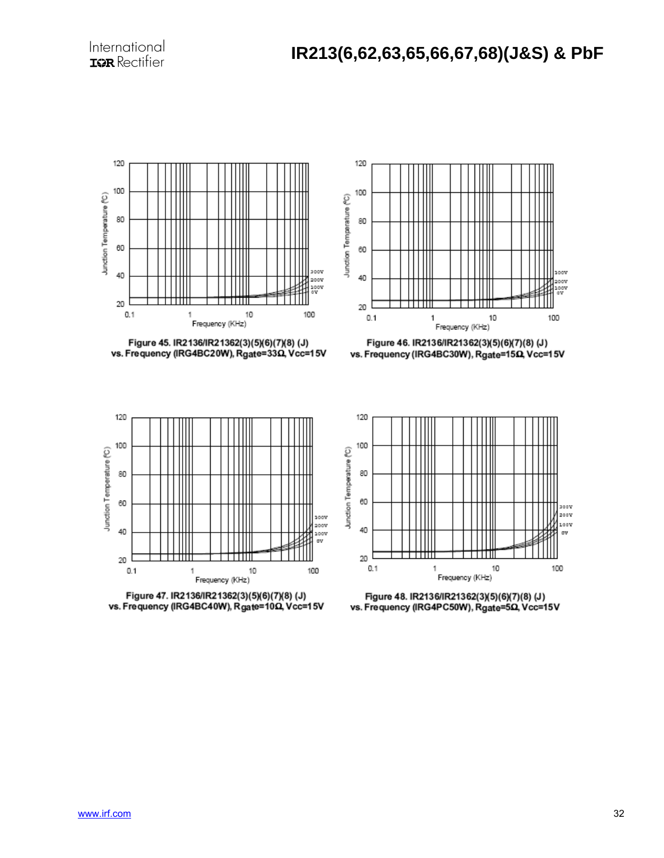













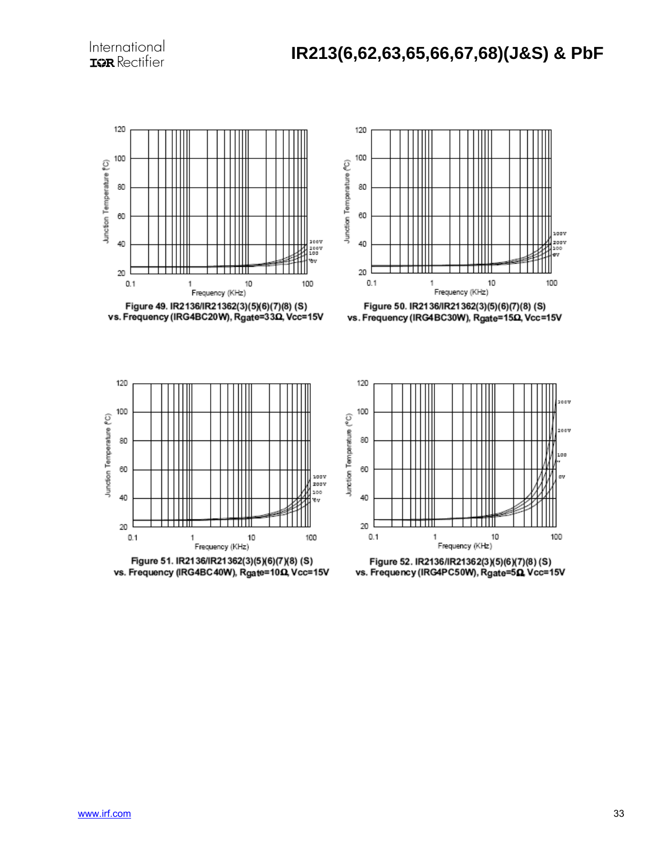





Figure 50. IR2136/IR21362(3)(5)(6)(7)(8) (S) vs. Frequency (IRG4BC30W), Rgate=150, Vcc=15V







Figure 52. IR2136/IR21362(3)(5)(6)(7)(8)(S) vs. Frequency (IRG4PC50W), Rgate=50, Vcc=15V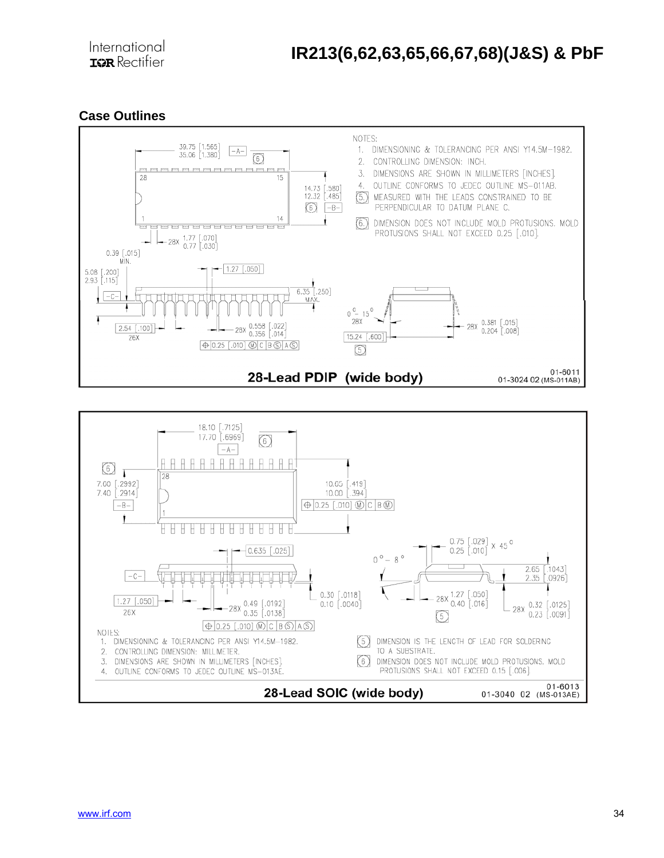### **Case Outlines**



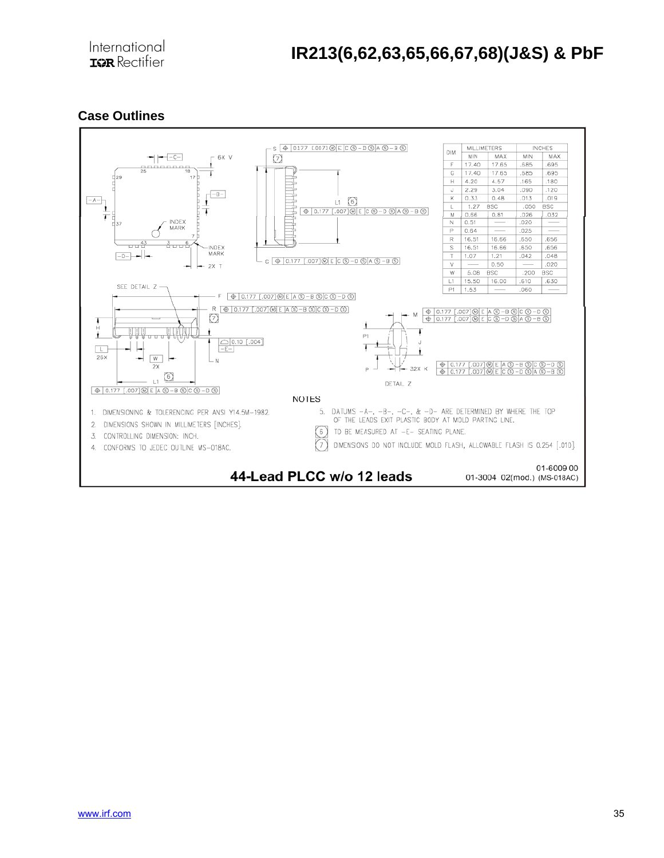### **Case Outlines**

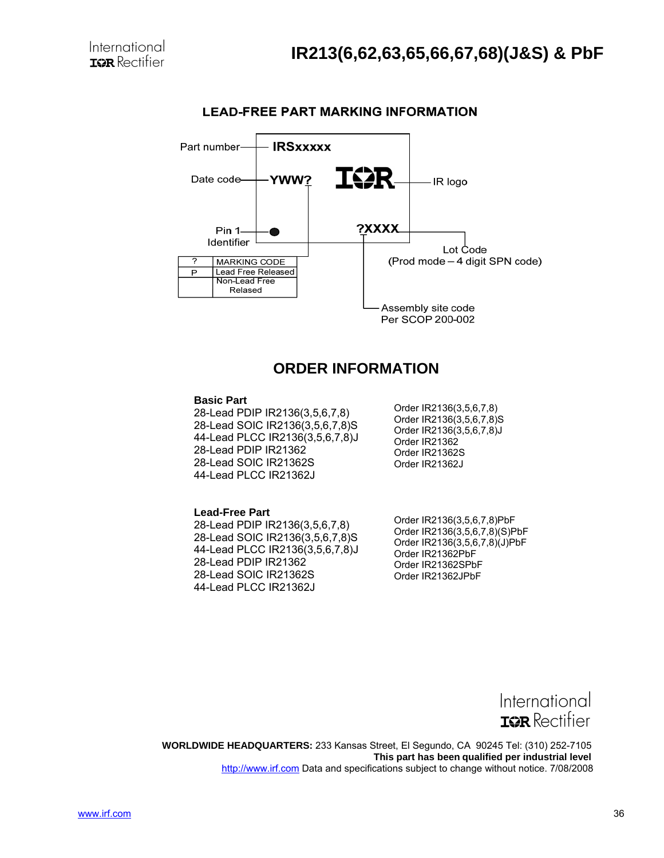

#### **LEAD-FREE PART MARKING INFORMATION**

### **ORDER INFORMATION**

#### **Basic Part**

28-Lead PDIP IR2136(3,5,6,7,8) 28-Lead SOIC IR2136(3,5,6,7,8)S 44-Lead PLCC IR2136(3,5,6,7,8)J 28-Lead PDIP IR21362 28-Lead SOIC IR21362S 44-Lead PLCC IR21362J

Order IR2136(3,5,6,7,8) Order IR2136(3,5,6,7,8)S Order IR2136(3,5,6,7,8)J Order IR21362 Order IR21362S Order IR21362J

#### **Lead-Free Part**  28-Lead PDIP IR2136(3,5,6,7,8) 28-Lead SOIC IR2136(3,5,6,7,8)S 44-Lead PLCC IR2136(3,5,6,7,8)J 28-Lead PDIP IR21362 28-Lead SOIC IR21362S 44-Lead PLCC IR21362J

Order IR2136(3,5,6,7,8)PbF Order IR2136(3,5,6,7,8)(S)PbF Order IR2136(3,5,6,7,8)(J)PbF Order IR21362PbF Order IR21362SPbF Order IR21362JPbF



 **WORLDWIDE HEADQUARTERS:** 233 Kansas Street, El Segundo, CA 90245 Tel: (310) 252-7105  **This part has been qualified per industrial level** http://www.irf.com Data and specifications subject to change without notice. 7/08/2008